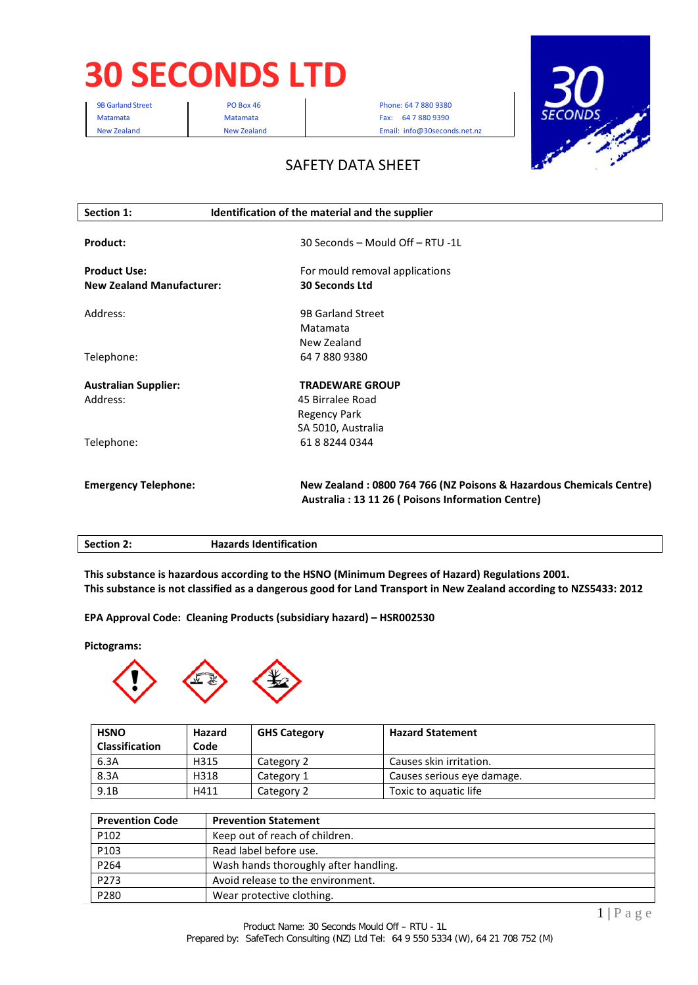# **30 SECONDS LTD**

9B Garland Street **PO Box 46** Phone: 64 7 880 9380 Matamata **Matamata** Matamata **Fax: 64 7 880 9390** New Zealand New Zealand Email: info@30seconds.net.nz



## SAFETY DATA SHEET

| Section 1:                                              | Identification of the material and the supplier                                                                           |
|---------------------------------------------------------|---------------------------------------------------------------------------------------------------------------------------|
| Product:                                                | 30 Seconds - Mould Off - RTU -1L                                                                                          |
| <b>Product Use:</b><br><b>New Zealand Manufacturer:</b> | For mould removal applications<br><b>30 Seconds Ltd</b>                                                                   |
| Address:                                                | <b>9B Garland Street</b><br>Matamata<br>New Zealand                                                                       |
| Telephone:                                              | 64 7 880 9380                                                                                                             |
| <b>Australian Supplier:</b><br>Address:                 | <b>TRADEWARE GROUP</b><br>45 Birralee Road<br>Regency Park<br>SA 5010, Australia                                          |
| Telephone:                                              | 61882440344                                                                                                               |
| <b>Emergency Telephone:</b>                             | New Zealand: 0800 764 766 (NZ Poisons & Hazardous Chemicals Centre)<br>Australia : 13 11 26 ( Poisons Information Centre) |

| <b>Section 2:</b> | <b>Hazards Identification</b> |
|-------------------|-------------------------------|
|                   |                               |

**This substance is hazardous according to the HSNO (Minimum Degrees of Hazard) Regulations 2001. This substance is not classified as a dangerous good for Land Transport in New Zealand according to NZS5433: 2012**

**EPA Approval Code: Cleaning Products (subsidiary hazard) – HSR002530**

**Pictograms:**



| <b>HSNO</b>           | Hazard | <b>GHS Category</b> | <b>Hazard Statement</b>    |
|-----------------------|--------|---------------------|----------------------------|
| <b>Classification</b> | Code   |                     |                            |
| 6.3A                  | H315   | Category 2          | Causes skin irritation.    |
| 8.3A                  | H318   | Category 1          | Causes serious eye damage. |
| 9.1B                  | H411   | Category 2          | Toxic to aquatic life      |

| <b>Prevention Code</b> | <b>Prevention Statement</b>           |
|------------------------|---------------------------------------|
| P102                   | Keep out of reach of children.        |
| P103                   | Read label before use.                |
| P264                   | Wash hands thoroughly after handling. |
| P273                   | Avoid release to the environment.     |
| P280                   | Wear protective clothing.             |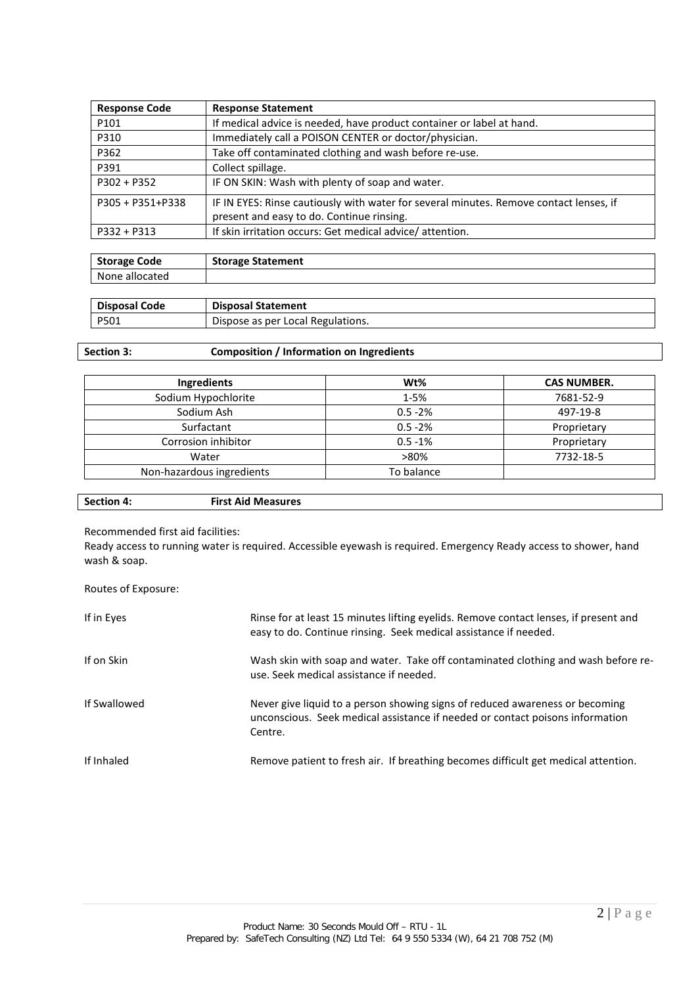| <b>Response Code</b> | <b>Response Statement</b>                                                              |
|----------------------|----------------------------------------------------------------------------------------|
| P101                 | If medical advice is needed, have product container or label at hand.                  |
| P310                 | Immediately call a POISON CENTER or doctor/physician.                                  |
| P362                 | Take off contaminated clothing and wash before re-use.                                 |
| P391                 | Collect spillage.                                                                      |
| $P302 + P352$        | IF ON SKIN: Wash with plenty of soap and water.                                        |
| P305 + P351+P338     | IF IN EYES: Rinse cautiously with water for several minutes. Remove contact lenses, if |
|                      | present and easy to do. Continue rinsing.                                              |
| $P332 + P313$        | If skin irritation occurs: Get medical advice/attention.                               |
|                      |                                                                                        |

| <b>Storage Code</b> | <b>Storage Statement</b> |
|---------------------|--------------------------|
| None allocated      |                          |
|                     |                          |

| P501<br>Dispose as per Local Regulations. |  |
|-------------------------------------------|--|

## **Section 3: Composition / Information on Ingredients**

| Ingredients               | Wt%        | <b>CAS NUMBER.</b> |
|---------------------------|------------|--------------------|
| Sodium Hypochlorite       | $1 - 5%$   | 7681-52-9          |
| Sodium Ash                | $0.5 - 2%$ | 497-19-8           |
| Surfactant                | $0.5 - 2%$ | Proprietary        |
| Corrosion inhibitor       | $0.5 - 1%$ | Proprietary        |
| Water                     | >80%       | 7732-18-5          |
| Non-hazardous ingredients | To balance |                    |

Recommended first aid facilities:

Ready access to running water is required. Accessible eyewash is required. Emergency Ready access to shower, hand wash & soap.

Routes of Exposure:

| If in Eyes   | Rinse for at least 15 minutes lifting eyelids. Remove contact lenses, if present and<br>easy to do. Continue rinsing. Seek medical assistance if needed.                 |
|--------------|--------------------------------------------------------------------------------------------------------------------------------------------------------------------------|
| If on Skin   | Wash skin with soap and water. Take off contaminated clothing and wash before re-<br>use. Seek medical assistance if needed.                                             |
| If Swallowed | Never give liquid to a person showing signs of reduced awareness or becoming<br>unconscious. Seek medical assistance if needed or contact poisons information<br>Centre. |
| If Inhaled   | Remove patient to fresh air. If breathing becomes difficult get medical attention.                                                                                       |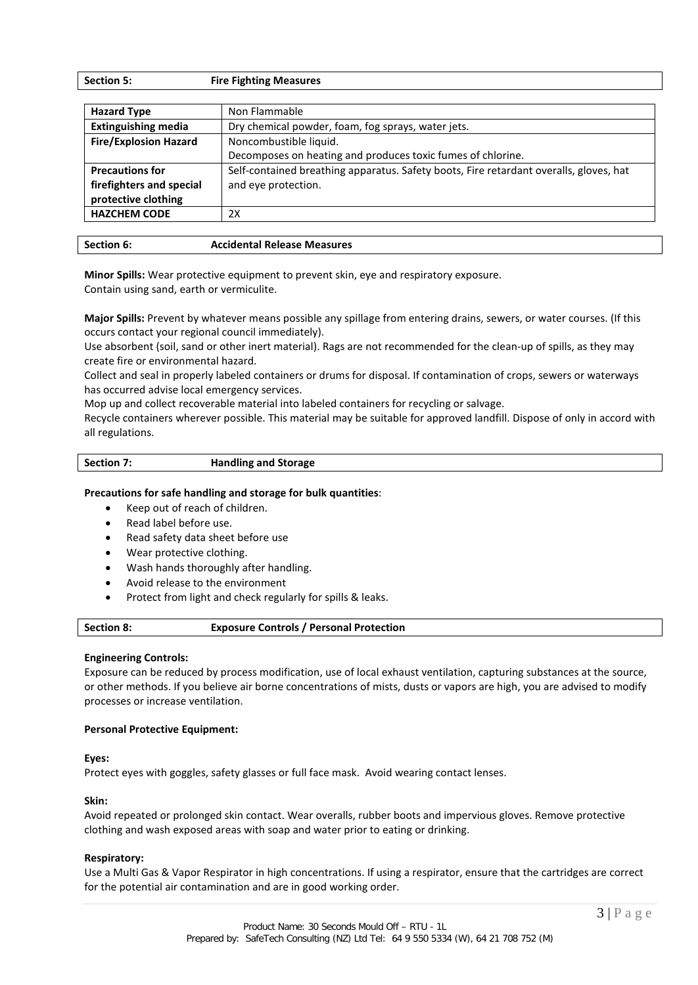| <b>Section 5:</b> | <b>Fire Fighting Measures</b> |
|-------------------|-------------------------------|
|                   |                               |

| Non Flammable                                                                          |  |
|----------------------------------------------------------------------------------------|--|
| Dry chemical powder, foam, fog sprays, water jets.                                     |  |
| Noncombustible liquid.                                                                 |  |
| Decomposes on heating and produces toxic fumes of chlorine.                            |  |
| Self-contained breathing apparatus. Safety boots, Fire retardant overalls, gloves, hat |  |
| and eye protection.                                                                    |  |
|                                                                                        |  |
| 2X                                                                                     |  |
|                                                                                        |  |

| Section 6: | <b>Accidental Release Measures</b> |
|------------|------------------------------------|
|            |                                    |

**Minor Spills:** Wear protective equipment to prevent skin, eye and respiratory exposure. Contain using sand, earth or vermiculite.

**Major Spills:** Prevent by whatever means possible any spillage from entering drains, sewers, or water courses. (If this occurs contact your regional council immediately).

Use absorbent (soil, sand or other inert material). Rags are not recommended for the clean-up of spills, as they may create fire or environmental hazard.

Collect and seal in properly labeled containers or drums for disposal. If contamination of crops, sewers or waterways has occurred advise local emergency services.

Mop up and collect recoverable material into labeled containers for recycling or salvage.

Recycle containers wherever possible. This material may be suitable for approved landfill. Dispose of only in accord with all regulations.

#### **Precautions for safe handling and storage for bulk quantities**:

- Keep out of reach of children.
- Read label before use.
- Read safety data sheet before use
- Wear protective clothing.
- Wash hands thoroughly after handling.
- Avoid release to the environment
- Protect from light and check regularly for spills & leaks.

| <b>Section 8:</b> | <b>Exposure Controls / Personal Protection</b> |
|-------------------|------------------------------------------------|
|-------------------|------------------------------------------------|

#### **Engineering Controls:**

Exposure can be reduced by process modification, use of local exhaust ventilation, capturing substances at the source, or other methods. If you believe air borne concentrations of mists, dusts or vapors are high, you are advised to modify processes or increase ventilation.

#### **Personal Protective Equipment:**

#### **Eyes:**

Protect eyes with goggles, safety glasses or full face mask. Avoid wearing contact lenses.

#### **Skin:**

Avoid repeated or prolonged skin contact. Wear overalls, rubber boots and impervious gloves. Remove protective clothing and wash exposed areas with soap and water prior to eating or drinking.

#### **Respiratory:**

Use a Multi Gas & Vapor Respirator in high concentrations. If using a respirator, ensure that the cartridges are correct for the potential air contamination and are in good working order.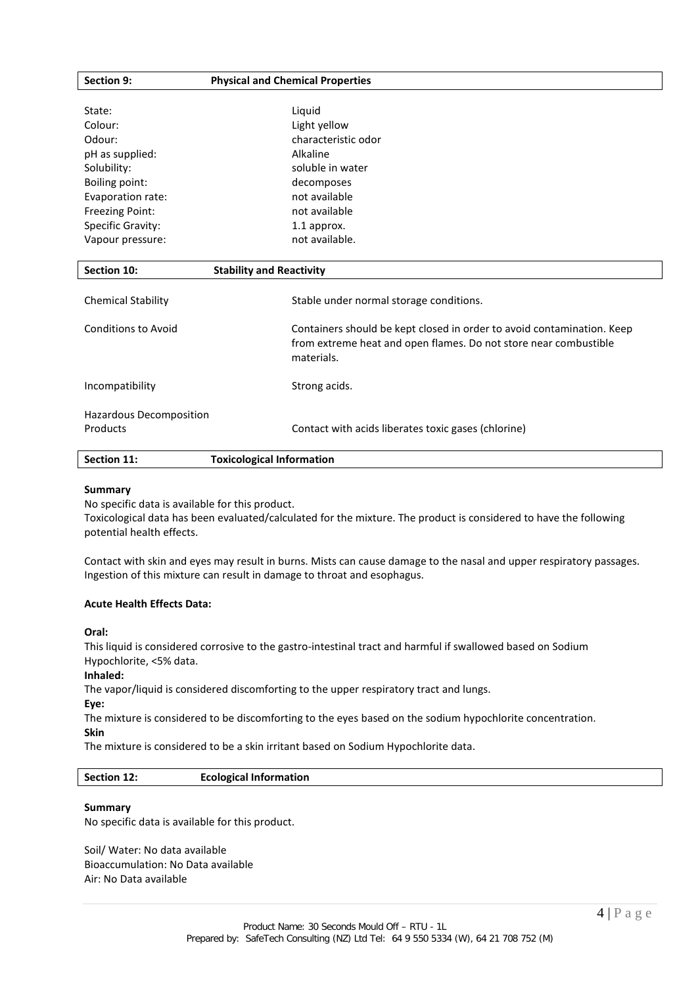| Section 9:                 | <b>Physical and Chemical Properties</b>                                |  |
|----------------------------|------------------------------------------------------------------------|--|
|                            |                                                                        |  |
| State:                     | Liquid                                                                 |  |
| Colour:                    | Light yellow                                                           |  |
| Odour:                     | characteristic odor                                                    |  |
| pH as supplied:            | Alkaline                                                               |  |
| Solubility:                | soluble in water                                                       |  |
| Boiling point:             | decomposes                                                             |  |
| Evaporation rate:          | not available                                                          |  |
| Freezing Point:            | not available                                                          |  |
| <b>Specific Gravity:</b>   | 1.1 approx.                                                            |  |
| Vapour pressure:           | not available.                                                         |  |
|                            |                                                                        |  |
| Section 10:                | <b>Stability and Reactivity</b>                                        |  |
|                            |                                                                        |  |
| <b>Chemical Stability</b>  | Stable under normal storage conditions.                                |  |
| <b>Conditions to Avoid</b> | Containers should be kept closed in order to avoid contamination. Keep |  |
|                            | from extreme heat and open flames. Do not store near combustible       |  |
|                            | materials.                                                             |  |
|                            |                                                                        |  |
| Incompatibility            | Strong acids.                                                          |  |
|                            |                                                                        |  |
| Hazardous Decomposition    |                                                                        |  |
| Products                   | Contact with acids liberates toxic gases (chlorine)                    |  |
|                            |                                                                        |  |

| Section 11: | <b>Toxicological Information</b> |  |  |
|-------------|----------------------------------|--|--|
|-------------|----------------------------------|--|--|

#### **Summary**

No specific data is available for this product.

Toxicological data has been evaluated/calculated for the mixture. The product is considered to have the following potential health effects.

Contact with skin and eyes may result in burns. Mists can cause damage to the nasal and upper respiratory passages. Ingestion of this mixture can result in damage to throat and esophagus.

#### **Acute Health Effects Data:**

**Oral:**

This liquid is considered corrosive to the gastro-intestinal tract and harmful if swallowed based on Sodium Hypochlorite, <5% data.

#### **Inhaled:**

The vapor/liquid is considered discomforting to the upper respiratory tract and lungs.

**Eye:**

The mixture is considered to be discomforting to the eyes based on the sodium hypochlorite concentration. **Skin** 

The mixture is considered to be a skin irritant based on Sodium Hypochlorite data.

| Section 12: | <b>Ecological Information</b> |  |
|-------------|-------------------------------|--|
|-------------|-------------------------------|--|

#### **Summary**

No specific data is available for this product.

Soil/ Water: No data available Bioaccumulation: No Data available Air: No Data available